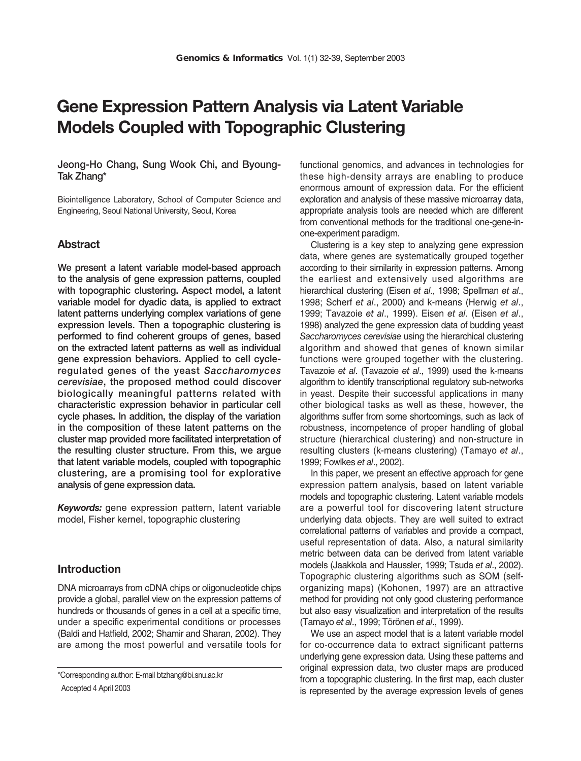# **Gene Expression Pattern Analysis via Latent Variable Models Coupled with Topographic Clustering**

# **Jeong-Ho Chang, Sung Wook Chi, and Byoung-Tak Zhang\***

Biointelligence Laboratory, School of Computer Science and Engineering, Seoul National University, Seoul, Korea

# **Abstract**

**We present a latent variable model-based approach to the analysis of gene expression patterns, coupled with topographic clustering. Aspect model, a latent variable model for dyadic data, is applied to extract latent patterns underlying complex variations of gene expression levels. Then a topographic clustering is performed to find coherent groups of genes, based on the extracted latent patterns as well as individual gene expression behaviors. Applied to cell cycleregulated genes of the yeast** *Saccharomyces cerevisiae***, the proposed method could discover biologically meaningful patterns related with characteristic expression behavior in particular cell cycle phases. In addition, the display of the variation in the composition of these latent patterns on the cluster map provided more facilitated interpretation of the resulting cluster structure. From this, we argue that latent variable models, coupled with topographic clustering, are a promising tool for explorative analysis of gene expression data.**

*Keywords:* gene expression pattern, latent variable model, Fisher kernel, topographic clustering

# **Introduction**

DNA microarrays from cDNA chips or oligonucleotide chips provide a global, parallel view on the expression patterns of hundreds or thousands of genes in a cell at a specific time, under a specific experimental conditions or processes (Baldi and Hatfield, 2002; Shamir and Sharan, 2002). They are among the most powerful and versatile tools for

functional genomics, and advances in technologies for these high-density arrays are enabling to produce enormous amount of expression data. For the efficient exploration and analysis of these massive microarray data, appropriate analysis tools are needed which are different from conventional methods for the traditional one-gene-inone-experiment paradigm.

Clustering is a key step to analyzing gene expression data, where genes are systematically grouped together according to their similarity in expression patterns. Among the earliest and extensively used algorithms are hierarchical clustering (Eisen *et al*., 1998; Spellman *et al*., 1998; Scherf *et al*., 2000) and k-means (Herwig *et al*., 1999; Tavazoie *et al*., 1999). Eisen *et al*. (Eisen *et al*., 1998) analyzed the gene expression data of budding yeast *Saccharomyces cerevisiae* using the hierarchical clustering algorithm and showed that genes of known similar functions were grouped together with the clustering. Tavazoie *et al*. (Tavazoie *et al*., 1999) used the k-means algorithm to identify transcriptional regulatory sub-networks in yeast. Despite their successful applications in many other biological tasks as well as these, however, the algorithms suffer from some shortcomings, such as lack of robustness, incompetence of proper handling of global structure (hierarchical clustering) and non-structure in resulting clusters (k-means clustering) (Tamayo *et al*., 1999; Fowlkes *et al*., 2002).

In this paper, we present an effective approach for gene expression pattern analysis, based on latent variable models and topographic clustering. Latent variable models are a powerful tool for discovering latent structure underlying data objects. They are well suited to extract correlational patterns of variables and provide a compact, useful representation of data. Also, a natural similarity metric between data can be derived from latent variable models (Jaakkola and Haussler, 1999; Tsuda *et al*., 2002). Topographic clustering algorithms such as SOM (selforganizing maps) (Kohonen, 1997) are an attractive method for providing not only good clustering performance but also easy visualization and interpretation of the results (Tamayo *et al*., 1999; Törönen *et al*., 1999).

We use an aspect model that is a latent variable model for co-occurrence data to extract significant patterns underlying gene expression data. Using these patterns and original expression data, two cluster maps are produced from a topographic clustering. In the first map, each cluster is represented by the average expression levels of genes

<sup>\*</sup>Corresponding author: E-mail btzhang@bi.snu.ac.kr Accepted 4 April 2003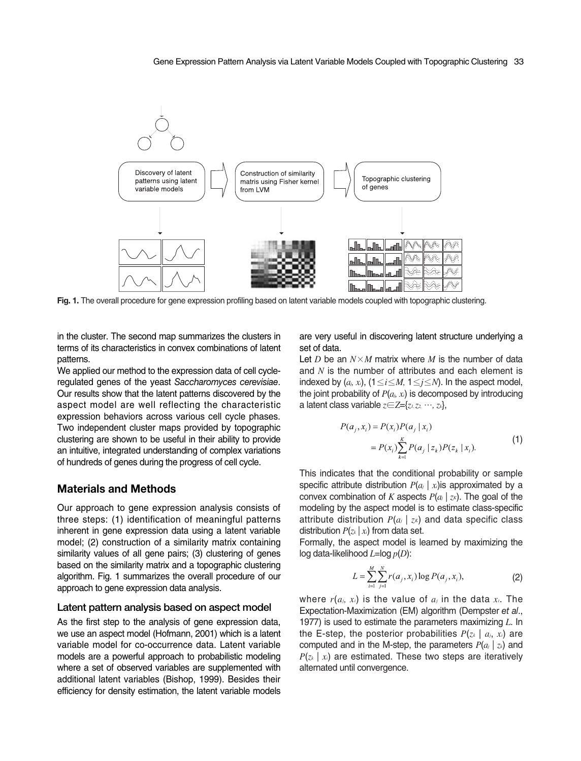

**Fig. 1.** The overall procedure for gene expression profiling based on latent variable models coupled with topographic clustering.

in the cluster. The second map summarizes the clusters in terms of its characteristics in convex combinations of latent patterns.

We applied our method to the expression data of cell cycleregulated genes of the yeast *Saccharomyces cerevisiae*. Our results show that the latent patterns discovered by the aspect model are well reflecting the characteristic expression behaviors across various cell cycle phases. Two independent cluster maps provided by topographic clustering are shown to be useful in their ability to provide an intuitive, integrated understanding of complex variations of hundreds of genes during the progress of cell cycle.

## **Materials and Methods**

Our approach to gene expression analysis consists of three steps: (1) identification of meaningful patterns inherent in gene expression data using a latent variable model; (2) construction of a similarity matrix containing similarity values of all gene pairs; (3) clustering of genes based on the similarity matrix and a topographic clustering algorithm. Fig. 1 summarizes the overall procedure of our approach to gene expression data analysis.

#### **Latent pattern analysis based on aspect model**

As the first step to the analysis of gene expression data, we use an aspect model (Hofmann, 2001) which is a latent variable model for co-occurrence data. Latent variable models are a powerful approach to probabilistic modeling where a set of observed variables are supplemented with additional latent variables (Bishop, 1999). Besides their efficiency for density estimation, the latent variable models are very useful in discovering latent structure underlying a set of data.

Let *D* be an  $N \times M$  matrix where *M* is the number of data and *N* is the number of attributes and each element is indexed by  $(a_i, x_i)$ ,  $(1 \le i \le M, 1 \le j \le N)$ . In the aspect model, the joint probability of  $P(a_i, x_i)$  is decomposed by introducing a latent class variable *z*∈*Z*={*z1, z2,* …*, zk*},

$$
P(a_j, x_i) = P(x_i)P(a_j | x_i)
$$
  
=  $P(x_i) \sum_{k=1}^{K} P(a_j | z_k)P(z_k | x_i).$  (1)

This indicates that the conditional probability or sample specific attribute distribution  $P(a_j | x_i)$  is approximated by a convex combination of *K* aspects  $P(a_j | z_k)$ . The goal of the modeling by the aspect model is to estimate class-specific attribute distribution  $P(a_i \mid z_k)$  and data specific class distribution  $P(z_k | x_i)$  from data set.

Formally, the aspect model is learned by maximizing the log data-likelihood *L*=log *p*(*D*):

$$
L = \sum_{i=1}^{M} \sum_{j=1}^{N} r(a_j, x_i) \log P(a_j, x_i),
$$
 (2)

where *r*(*aj, xi*) is the value of *aj* in the data *xi*. The Expectation-Maximization (EM) algorithm (Dempster *et al*., 1977) is used to estimate the parameters maximizing *L*. In the E-step, the posterior probabilities  $P(z_k | a_i, x_i)$  are computed and in the M-step, the parameters  $P(a_i | z_k)$  and  $P(z_k | x_i)$  are estimated. These two steps are iteratively alternated until convergence.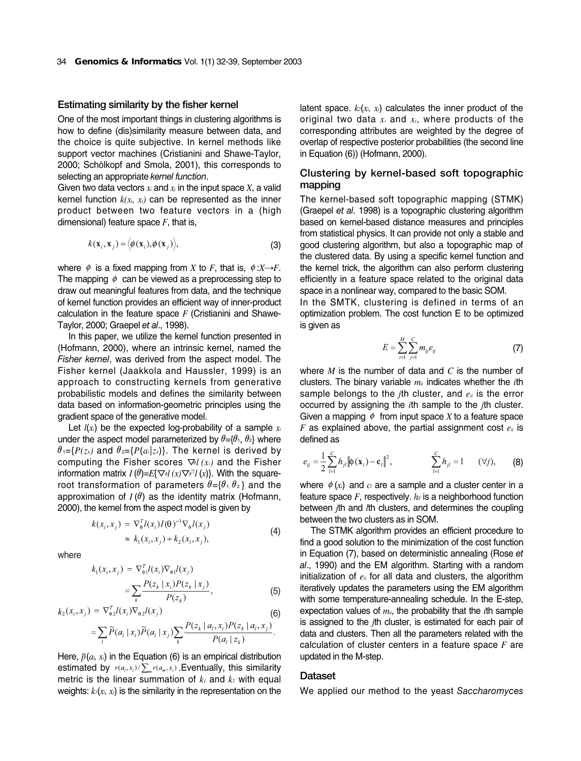#### **Estimating similarity by the fisher kernel**

One of the most important things in clustering algorithms is how to define (dis)similarity measure between data, and the choice is quite subjective. In kernel methods like support vector machines (Cristianini and Shawe-Taylor, 2000; Schölkopf and Smola, 2001), this corresponds to selecting an appropriate *kernel function*.

Given two data vectors  $x_i$  and  $x_j$  in the input space  $X$ , a valid kernel function  $k(x_i, x_j)$  can be represented as the inner product between two feature vectors in a (high dimensional) feature space *F*, that is,

$$
k(\mathbf{x}_i, \mathbf{x}_j) = \langle \phi(\mathbf{x}_i), \phi(\mathbf{x}_j) \rangle,
$$
 (3)

where  $\phi$  is a fixed mapping from *X* to *F*, that is,  $\phi : X \rightarrow F$ . The mapping  $\phi$  can be viewed as a preprocessing step to draw out meaningful features from data, and the technique of kernel function provides an efficient way of inner-product calculation in the feature space *F* (Cristianini and Shawe-Taylor, 2000; Graepel *et al*., 1998).

In this paper, we utilize the kernel function presented in (Hofmann, 2000), where an intrinsic kernel, named the *Fisher kernel*, was derived from the aspect model. The Fisher kernel (Jaakkola and Haussler, 1999) is an approach to constructing kernels from generative probabilistic models and defines the similarity between data based on information-geometric principles using the gradient space of the generative model.

Let  $l(x_i)$  be the expected log-probability of a sample  $x_i$ under the aspect model parameterized by  $\theta = \{\theta_1, \theta_2\}$  where  $\theta_1 = \{P(z_k) \text{ and } \theta_2 = \{P(a_i | z_k)\}\$ . The kernel is derived by computing the Fisher scores ∇θ*l (xi)* and the Fisher information matrix  $I(\theta)=E\{\nabla_{\theta}l(x)\nabla_{\theta}l^T(x)\}$ . With the squareroot transformation of parameters  $\theta = {\theta_1, \theta_2}$  and the approximation of  $I(\theta)$  as the identity matrix (Hofmann, 2000), the kernel from the aspect model is given by

$$
k(xi, xj) = \nabla_0^T l(x_i) I(\theta)^{-1} \nabla_0 l(x_j)
$$
  
\n
$$
\approx k_1(x_i, x_j) + k_2(x_i, x_j),
$$
\n(4)

where

$$
k_1(x_i, x_j) = \nabla_{\theta_1}^T l(x_i) \nabla_{\theta_1} l(x_j)
$$
  
= 
$$
\sum_k \frac{P(z_k | x_i) P(z_k | x_j)}{P(z_k)},
$$
 (5)

$$
k_2(x_i, x_j) = \nabla_{\theta_2}^T l(x_i) \nabla_{\theta_2} l(x_j)
$$
\n
$$
= \sum \widetilde{P}(a_i | x_i) \widetilde{P}(a_i | x_j) \sum \frac{P(z_k | a_i, x_i) P(z_k | a_i, x_j)}{P(z_k | a_i, x_j)}.
$$
\n(6)

$$
= \sum_{i} \widetilde{P}(a_i \mid x_i) \widetilde{P}(a_i \mid x_j) \sum_{k} \frac{1 \left(\frac{2}{k} \mid a_i, x_i \right) \prod_{i} \left(\frac{2}{k} \mid a_i, x_j \right)}{P(a_i \mid z_k)}
$$

Here,  $\tilde{p}(a, x)$  in the Equation (6) is an empirical distribution estimated by  $r(a_i, x_i) / \sum_{m} r(a_m, x_i)$ . Eventually, this similarity metric is the linear summation of  $k_1$  and  $k_2$  with equal weights:  $k_1(x_i, x_j)$  is the similarity in the representation on the latent space.  $k_2(x_i, x_j)$  calculates the inner product of the original two data *xi* and *xj*, where products of the corresponding attributes are weighted by the degree of overlap of respective posterior probabilities (the second line in Equation (6)) (Hofmann, 2000).

# **Clustering by kernel-based soft topographic mapping**

The kernel-based soft topographic mapping (STMK) (Graepel *et al*. 1998) is a topographic clustering algorithm based on kernel-based distance measures and principles from statistical physics. It can provide not only a stable and good clustering algorithm, but also a topographic map of the clustered data. By using a specific kernel function and the kernel trick, the algorithm can also perform clustering efficiently in a feature space related to the original data space in a nonlinear way, compared to the basic SOM.

In the SMTK, clustering is defined in terms of an optimization problem. The cost function E to be optimized is given as

$$
E = \sum_{i=1}^{M} \sum_{j=1}^{C} m_{ij} e_{ij}
$$
 (7)

where *M* is the number of data and *C* is the number of clusters. The binary variable *mij* indicates whether the *i*th sample belongs to the *j*th cluster, and *eij* is the error occurred by assigning the *i*th sample to the *j*th cluster. Given a mapping  $\phi$  from input space *X* to a feature space *F* as explained above, the partial assignment cost *eij* is defined as

$$
e_{ij} = \frac{1}{2} \sum_{l=1}^{C} h_{jl} ||\phi(\mathbf{x}_i) - \mathbf{c}_l||^2, \qquad \sum_{l=1}^{C} h_{jl} = 1 \qquad (\forall j), \qquad (8)
$$

where  $\phi(x_i)$  and  $c_i$  are a sample and a cluster center in a feature space  $F$ , respectively.  $h_{ij}$  is a neighborhood function between *j*th and *l*th clusters, and determines the coupling between the two clusters as in SOM.

The STMK algorithm provides an efficient procedure to find a good solution to the minimization of the cost function in Equation (7), based on deterministic annealing (Rose *et al*., 1990) and the EM algorithm. Starting with a random initialization of *eij* for all data and clusters, the algorithm iteratively updates the parameters using the EM algorithm with some temperature-annealing schedule. In the E-step, expectation values of *mij*, the probability that the *i*th sample is assigned to the *j*th cluster, is estimated for each pair of data and clusters. Then all the parameters related with the calculation of cluster centers in a feature space *F* are updated in the M-step.

#### **Dataset**

We applied our method to the yeast *Saccharomyces*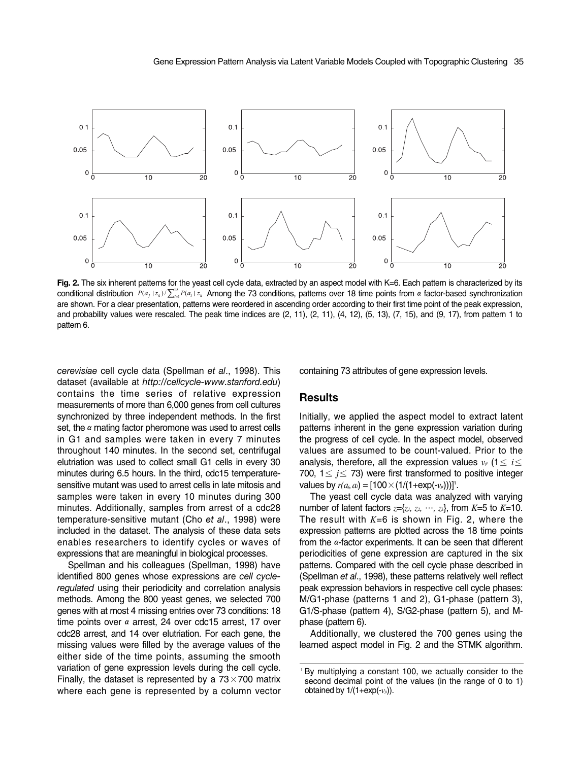

**Fig. 2.** The six inherent patterns for the yeast cell cycle data, extracted by an aspect model with K=6. Each pattern is characterized by its conditional distribution  $P(a_j | z_k) / \sum_{j=1}^k P(a_j | z_k)$  Among the 73 conditions, patterns over 18 time points from  $\alpha$  factor-based synchronization are shown. For a clear presentation, patterns were reordered in ascending order according to their first time point of the peak expression, and probability values were rescaled. The peak time indices are (2, 11), (2, 11), (4, 12), (5, 13), (7, 15), and (9, 17), from pattern 1 to pattern 6.

*cerevisiae* cell cycle data (Spellman *et al*., 1998). This dataset (available at *http://cellcycle-www.stanford.edu*) contains the time series of relative expression measurements of more than 6,000 genes from cell cultures synchronized by three independent methods. In the first set, the  $\alpha$  mating factor pheromone was used to arrest cells in G1 and samples were taken in every 7 minutes throughout 140 minutes. In the second set, centrifugal elutriation was used to collect small G1 cells in every 30 minutes during 6.5 hours. In the third, cdc15 temperaturesensitive mutant was used to arrest cells in late mitosis and samples were taken in every 10 minutes during 300 minutes. Additionally, samples from arrest of a cdc28 temperature-sensitive mutant (Cho *et al*., 1998) were included in the dataset. The analysis of these data sets enables researchers to identify cycles or waves of expressions that are meaningful in biological processes.

Spellman and his colleagues (Spellman, 1998) have identified 800 genes whose expressions are *cell cycleregulated* using their periodicity and correlation analysis methods. Among the 800 yeast genes, we selected 700 genes with at most 4 missing entries over 73 conditions: 18 time points over  $\alpha$  arrest, 24 over cdc15 arrest, 17 over cdc28 arrest, and 14 over elutriation. For each gene, the missing values were filled by the average values of the either side of the time points, assuming the smooth variation of gene expression levels during the cell cycle. Finally, the dataset is represented by a  $73\times700$  matrix where each gene is represented by a column vector containing 73 attributes of gene expression levels.

## **Results**

Initially, we applied the aspect model to extract latent patterns inherent in the gene expression variation during the progress of cell cycle. In the aspect model, observed values are assumed to be count-valued. Prior to the analysis, therefore, all the expression values  $v_{ji}$  (1 $\leq i \leq j$ 700,  $1 \leq i \leq 73$ ) were first transformed to positive integer values by  $r(a_i, a_i) = [100 \times (1/(1+exp(-v_{ii})))]$ <sup>n</sup>.

The yeast cell cycle data was analyzed with varying number of latent factors  $z=[z_1, z_2, \dots, z_k]$ , from  $K=5$  to  $K=10$ . The result with *K*=6 is shown in Fig. 2, where the expression patterns are plotted across the 18 time points from the  $\alpha$ -factor experiments. It can be seen that different periodicities of gene expression are captured in the six patterns. Compared with the cell cycle phase described in (Spellman *et al*., 1998), these patterns relatively well reflect peak expression behaviors in respective cell cycle phases: M/G1-phase (patterns 1 and 2), G1-phase (pattern 3), G1/S-phase (pattern 4), S/G2-phase (pattern 5), and Mphase (pattern 6).

Additionally, we clustered the 700 genes using the learned aspect model in Fig. 2 and the STMK algorithm.

<sup>1</sup> By multiplying a constant 100, we actually consider to the second decimal point of the values (in the range of 0 to 1) obtained by 1/(1+exp(-*vji*)).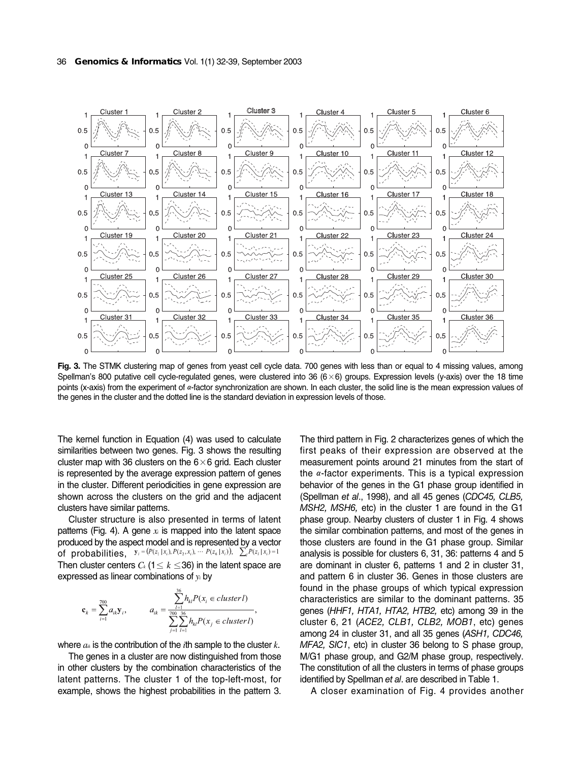

**Fig. 3.** The STMK clustering map of genes from yeast cell cycle data. 700 genes with less than or equal to 4 missing values, among Spellman's 800 putative cell cycle-regulated genes, were clustered into 36 ( $6 \times 6$ ) groups. Expression levels (y-axis) over the 18 time points (x-axis) from the experiment of α-factor synchronization are shown. In each cluster, the solid line is the mean expression values of the genes in the cluster and the dotted line is the standard deviation in expression levels of those.

The kernel function in Equation (4) was used to calculate similarities between two genes. Fig. 3 shows the resulting cluster map with 36 clusters on the  $6\times 6$  grid. Each cluster is represented by the average expression pattern of genes in the cluster. Different periodicities in gene expression are shown across the clusters on the grid and the adjacent clusters have similar patterns.

Cluster structure is also presented in terms of latent patterns (Fig. 4). A gene  $x_i$  is mapped into the latent space produced by the aspect model and is represented by a vector of probabilities,  $y_i = (P(z_1 | x_i), P(z_2, x_i), \cdots P(z_6 | x_i)), \sum_i P(z_i | x_i) = 1$ Then cluster centers  $C_k$  (1 $\leq k \leq$ 36) in the latent space are expressed as linear combinations of *yi* by

$$
\mathbf{c}_{k} = \sum_{i=1}^{700} a_{ik} \mathbf{y}_{i}, \qquad a_{ik} = \frac{\sum_{l=1}^{36} h_{kl} P(x_{i} \in cluster I)}{\sum_{i=1}^{700} \sum_{l=1}^{36} h_{kl} P(x_{j} \in cluster I)},
$$

where *aik* is the contribution of the *i*th sample to the cluster *k*.

The genes in a cluster are now distinguished from those in other clusters by the combination characteristics of the latent patterns. The cluster 1 of the top-left-most, for example, shows the highest probabilities in the pattern 3. The third pattern in Fig. 2 characterizes genes of which the first peaks of their expression are observed at the measurement points around 21 minutes from the start of the  $\alpha$ -factor experiments. This is a typical expression behavior of the genes in the G1 phase group identified in (Spellman *et al*., 1998), and all 45 genes (*CDC45, CLB5, MSH2, MSH6,* etc) in the cluster 1 are found in the G1 phase group. Nearby clusters of cluster 1 in Fig. 4 shows the similar combination patterns, and most of the genes in those clusters are found in the G1 phase group. Similar analysis is possible for clusters 6, 31, 36: patterns 4 and 5 are dominant in cluster 6, patterns 1 and 2 in cluster 31, and pattern 6 in cluster 36. Genes in those clusters are found in the phase groups of which typical expression characteristics are similar to the dominant patterns. 35 genes (*HHF1, HTA1, HTA2, HTB2,* etc) among 39 in the cluster 6, 21 (*ACE2, CLB1, CLB2, MOB1*, etc) genes among 24 in cluster 31, and all 35 genes (*ASH1, CDC46, MFA2, SIC1*, etc) in cluster 36 belong to S phase group, M/G1 phase group, and G2/M phase group, respectively. The constitution of all the clusters in terms of phase groups identified by Spellman *et al*. are described in Table 1.

A closer examination of Fig. 4 provides another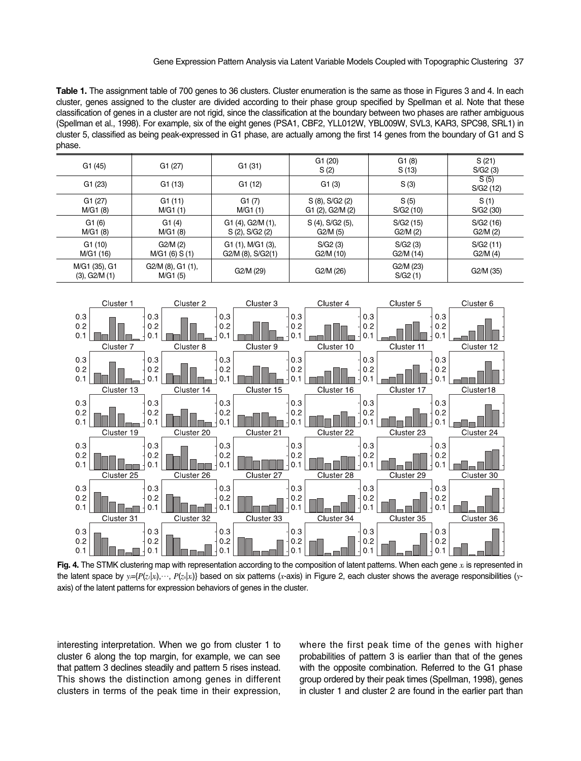Gene Expression Pattern Analysis via Latent Variable Models Coupled with Topographic Clustering 37

**Table 1.** The assignment table of 700 genes to 36 clusters. Cluster enumeration is the same as those in Figures 3 and 4. In each cluster, genes assigned to the cluster are divided according to their phase group specified by Spellman et al. Note that these classification of genes in a cluster are not rigid, since the classification at the boundary between two phases are rather ambiguous (Spellman et al., 1998). For example, six of the eight genes (PSA1, CBF2, YLL012W, YBL009W, SVL3, KAR3, SPC98, SRL1) in cluster 5, classified as being peak-expressed in G1 phase, are actually among the first 14 genes from the boundary of G1 and S phase.

| G1(45)                              | G1(27)                           | G1(31)                                          | G1(20)<br>S(2)                      | G1(8)<br>S(13)       | S(21)<br>S/G2(3)     |
|-------------------------------------|----------------------------------|-------------------------------------------------|-------------------------------------|----------------------|----------------------|
| G1(23)                              | G1(13)                           | G1(12)                                          | G1(3)                               | S(3)                 | S(5)<br>S/G2(12)     |
| G1(27)<br>M/G1 (8)                  | G1(11)<br>M/G1(1)                | G1(7)<br>M/G1 (1)                               | S (8), S/G2 (2)<br>G1 (2), G2/M (2) | S(5)<br>S/G2 (10)    | S(1)<br>S/G2(30)     |
| G1(6)<br>M/G1 (8)                   | G1(4)<br>M/G1 (8)                | G1 (4), G2/M (1),<br>S (2), S/G2 (2)            | S (4), S/G2 (5),<br>G2/M (5)        | S/G2(15)<br>G2/M(2)  | S/G2 (16)<br>G2/M(2) |
| G1(10)<br>M/G1 (16)                 | G2/M(2)<br>M/G1(6) S(1)          | $G1(1)$ , M/G1 $(3)$ ,<br>$G2/M$ (8), $S/G2(1)$ | S/G2(3)<br>G2/M (10)                | S/G2(3)<br>G2/M (14) | S/G2(11)<br>G2/M (4) |
| M/G1 (35), G1<br>$(3)$ , G2/M $(1)$ | $G2/M$ (8), $G1$ (1),<br>M/G1(5) | G2/M (29)                                       | G2/M (26)                           | G2/M (23)<br>S/G2(1) | G2/M (35)            |



**Fig. 4.** The STMK clustering map with representation according to the composition of latent patterns. When each gene *xi* is represented in the latent space by  $y = {P(z|x), \ldots, P(z|x)}$  based on six patterns (*x*-axis) in Figure 2, each cluster shows the average responsibilities (*y*axis) of the latent patterns for expression behaviors of genes in the cluster.

interesting interpretation. When we go from cluster 1 to cluster 6 along the top margin, for example, we can see that pattern 3 declines steadily and pattern 5 rises instead. This shows the distinction among genes in different clusters in terms of the peak time in their expression, where the first peak time of the genes with higher probabilities of pattern 3 is earlier than that of the genes with the opposite combination. Referred to the G1 phase group ordered by their peak times (Spellman, 1998), genes in cluster 1 and cluster 2 are found in the earlier part than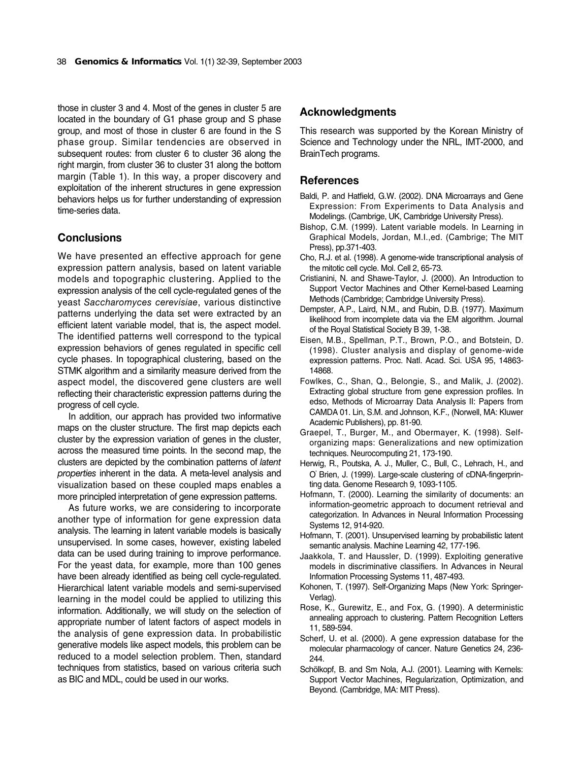those in cluster 3 and 4. Most of the genes in cluster 5 are located in the boundary of G1 phase group and S phase group, and most of those in cluster 6 are found in the S phase group. Similar tendencies are observed in subsequent routes: from cluster 6 to cluster 36 along the right margin, from cluster 36 to cluster 31 along the bottom margin (Table 1). In this way, a proper discovery and exploitation of the inherent structures in gene expression behaviors helps us for further understanding of expression time-series data.

# **Conclusions**

We have presented an effective approach for gene expression pattern analysis, based on latent variable models and topographic clustering. Applied to the expression analysis of the cell cycle-regulated genes of the yeast *Saccharomyces cerevisiae*, various distinctive patterns underlying the data set were extracted by an efficient latent variable model, that is, the aspect model. The identified patterns well correspond to the typical expression behaviors of genes regulated in specific cell cycle phases. In topographical clustering, based on the STMK algorithm and a similarity measure derived from the aspect model, the discovered gene clusters are well reflecting their characteristic expression patterns during the progress of cell cycle.

In addition, our apprach has provided two informative maps on the cluster structure. The first map depicts each cluster by the expression variation of genes in the cluster, across the measured time points. In the second map, the clusters are depicted by the combination patterns of *latent properties* inherent in the data. A meta-level analysis and visualization based on these coupled maps enables a more principled interpretation of gene expression patterns.

As future works, we are considering to incorporate another type of information for gene expression data analysis. The learning in latent variable models is basically unsupervised. In some cases, however, existing labeled data can be used during training to improve performance. For the yeast data, for example, more than 100 genes have been already identified as being cell cycle-regulated. Hierarchical latent variable models and semi-supervised learning in the model could be applied to utilizing this information. Additionally, we will study on the selection of appropriate number of latent factors of aspect models in the analysis of gene expression data. In probabilistic generative models like aspect models, this problem can be reduced to a model selection problem. Then, standard techniques from statistics, based on various criteria such as BIC and MDL, could be used in our works.

#### **Acknowledgments**

This research was supported by the Korean Ministry of Science and Technology under the NRL, IMT-2000, and BrainTech programs.

## **References**

- Baldi, P. and Hatfield, G.W. (2002). DNA Microarrays and Gene Expression: From Experiments to Data Analysis and Modelings. (Cambrige, UK, Cambridge University Press).
- Bishop, C.M. (1999). Latent variable models. In Learning in Graphical Models, Jordan, M.I.,ed. (Cambrige; The MIT Press), pp.371-403.
- Cho, R.J. et al. (1998). A genome-wide transcriptional analysis of the mitotic cell cycle. Mol. Cell 2, 65-73.
- Cristianini, N. and Shawe-Taylor, J. (2000). An Introduction to Support Vector Machines and Other Kernel-based Learning Methods (Cambridge; Cambridge University Press).
- Dempster, A.P., Laird, N.M., and Rubin, D.B. (1977). Maximum likelihood from incomplete data via the EM algorithm. Journal of the Royal Statistical Society B 39, 1-38.
- Eisen, M.B., Spellman, P.T., Brown, P.O., and Botstein, D. (1998). Cluster analysis and display of genome-wide expression patterns. Proc. Natl. Acad. Sci. USA 95, 14863- 14868.
- Fowlkes, C., Shan, Q., Belongie, S., and Malik, J. (2002). Extracting global structure from gene expression profiles. In edso, Methods of Microarray Data Analysis II: Papers from CAMDA 01. Lin, S.M. and Johnson, K.F., (Norwell, MA: Kluwer Academic Publishers), pp. 81-90.
- Graepel, T., Burger, M., and Obermayer, K. (1998). Selforganizing maps: Generalizations and new optimization techniques. Neurocomputing 21, 173-190.
- Herwig, R., Poutska, A. J., Muller, C., Bull, C., Lehrach, H., and O'Brien, J. (1999). Large-scale clustering of cDNA-fingerprinting data. Genome Research 9, 1093-1105.
- Hofmann, T. (2000). Learning the similarity of documents: an information-geometric approach to document retrieval and categorization. In Advances in Neural Information Processing Systems 12, 914-920.
- Hofmann, T. (2001). Unsupervised learning by probabilistic latent semantic analysis. Machine Learning 42, 177-196.
- Jaakkola, T. and Haussler, D. (1999). Exploiting generative models in discriminative classifiers. In Advances in Neural Information Processing Systems 11, 487-493.
- Kohonen, T. (1997). Self-Organizing Maps (New York: Springer-Verlag).
- Rose, K., Gurewitz, E., and Fox, G. (1990). A deterministic annealing approach to clustering. Pattern Recognition Letters 11, 589-594.
- Scherf, U. et al. (2000). A gene expression database for the molecular pharmacology of cancer. Nature Genetics 24, 236- 244.
- Schölkopf, B. and Sm Nola, A.J. (2001). Learning with Kernels: Support Vector Machines, Regularization, Optimization, and Beyond. (Cambridge, MA: MIT Press).